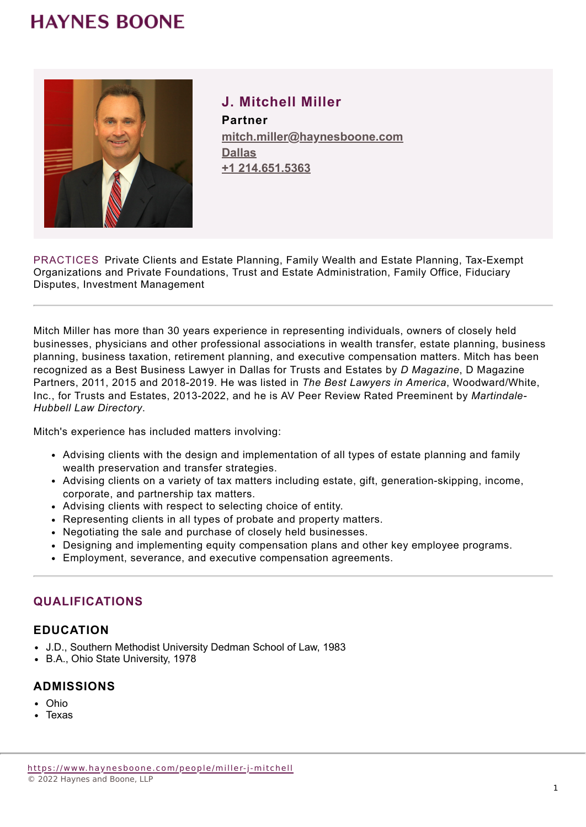# **HAYNES BOONE**



**J. Mitchell Miller Partner mitch.miller@haynesboone.com [Dallas](https://www.haynesboone.com/locations/dallas) [+1 214.651.5363](tel://+1 214.651.5363)**

PRACTICES Private Clients and Estate Planning, Family Wealth and Estate Planning, Tax-Exempt Organizations and Private Foundations, Trust and Estate Administration, Family Office, Fiduciary Disputes, Investment Management

Mitch Miller has more than 30 years experience in representing individuals, owners of closely held businesses, physicians and other professional associations in wealth transfer, estate planning, business planning, business taxation, retirement planning, and executive compensation matters. Mitch has been recognized as a Best Business Lawyer in Dallas for Trusts and Estates by *D Magazine*, D Magazine Partners, 2011, 2015 and 2018-2019. He was listed in *The Best Lawyers in America*, Woodward/White, Inc., for Trusts and Estates, 2013-2022, and he is AV Peer Review Rated Preeminent by *Martindale-Hubbell Law Directory*.

Mitch's experience has included matters involving:

- Advising clients with the design and implementation of all types of estate planning and family wealth preservation and transfer strategies.
- Advising clients on a variety of tax matters including estate, gift, generation-skipping, income, corporate, and partnership tax matters.
- Advising clients with respect to selecting choice of entity.
- Representing clients in all types of probate and property matters.
- Negotiating the sale and purchase of closely held businesses.
- Designing and implementing equity compensation plans and other key employee programs.
- Employment, severance, and executive compensation agreements.

## **QUALIFICATIONS**

### **EDUCATION**

- J.D., Southern Methodist University Dedman School of Law, 1983
- B.A., Ohio State University, 1978

#### **ADMISSIONS**

- Ohio
- Texas

<https://www.haynesboone.com/people/miller-j-mitchell> © 2022 Haynes and Boone, LLP